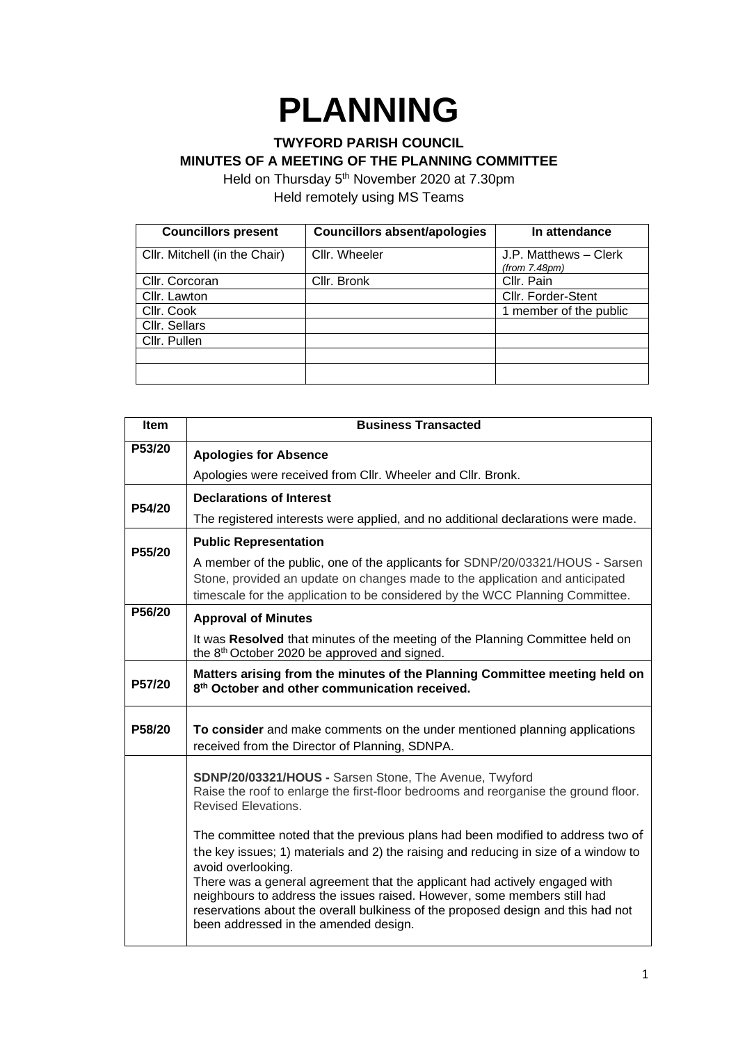## **PLANNING**

## **TWYFORD PARISH COUNCIL**

**MINUTES OF A MEETING OF THE PLANNING COMMITTEE**

Held on Thursday 5<sup>th</sup> November 2020 at 7.30pm Held remotely using MS Teams

| <b>Councillors present</b>    | <b>Councillors absent/apologies</b> | In attendance                          |
|-------------------------------|-------------------------------------|----------------------------------------|
| Cllr. Mitchell (in the Chair) | Cllr. Wheeler                       | J.P. Matthews - Clerk<br>(from 7.48pm) |
| Cllr. Corcoran                | Cllr. Bronk                         | Cllr. Pain                             |
| Cllr. Lawton                  |                                     | Cllr. Forder-Stent                     |
| Cllr. Cook                    |                                     | 1 member of the public                 |
| Cllr. Sellars                 |                                     |                                        |
| Cllr. Pullen                  |                                     |                                        |
|                               |                                     |                                        |
|                               |                                     |                                        |

| Item                | <b>Business Transacted</b>                                                                                                                                                                                                                                                                                                                                                                                                                                                          |  |
|---------------------|-------------------------------------------------------------------------------------------------------------------------------------------------------------------------------------------------------------------------------------------------------------------------------------------------------------------------------------------------------------------------------------------------------------------------------------------------------------------------------------|--|
| P53/20              | <b>Apologies for Absence</b>                                                                                                                                                                                                                                                                                                                                                                                                                                                        |  |
|                     | Apologies were received from Cllr. Wheeler and Cllr. Bronk.                                                                                                                                                                                                                                                                                                                                                                                                                         |  |
| P54/20              | <b>Declarations of Interest</b>                                                                                                                                                                                                                                                                                                                                                                                                                                                     |  |
|                     | The registered interests were applied, and no additional declarations were made.                                                                                                                                                                                                                                                                                                                                                                                                    |  |
| P <sub>55</sub> /20 | <b>Public Representation</b>                                                                                                                                                                                                                                                                                                                                                                                                                                                        |  |
|                     | A member of the public, one of the applicants for SDNP/20/03321/HOUS - Sarsen<br>Stone, provided an update on changes made to the application and anticipated<br>timescale for the application to be considered by the WCC Planning Committee.                                                                                                                                                                                                                                      |  |
| P56/20              | <b>Approval of Minutes</b>                                                                                                                                                                                                                                                                                                                                                                                                                                                          |  |
|                     | It was Resolved that minutes of the meeting of the Planning Committee held on<br>the 8 <sup>th</sup> October 2020 be approved and signed.                                                                                                                                                                                                                                                                                                                                           |  |
| P57/20              | Matters arising from the minutes of the Planning Committee meeting held on<br>8 <sup>th</sup> October and other communication received.                                                                                                                                                                                                                                                                                                                                             |  |
| P58/20              | To consider and make comments on the under mentioned planning applications<br>received from the Director of Planning, SDNPA.                                                                                                                                                                                                                                                                                                                                                        |  |
|                     | SDNP/20/03321/HOUS - Sarsen Stone, The Avenue, Twyford<br>Raise the roof to enlarge the first-floor bedrooms and reorganise the ground floor.<br><b>Revised Elevations.</b>                                                                                                                                                                                                                                                                                                         |  |
|                     | The committee noted that the previous plans had been modified to address two of<br>the key issues; 1) materials and 2) the raising and reducing in size of a window to<br>avoid overlooking.<br>There was a general agreement that the applicant had actively engaged with<br>neighbours to address the issues raised. However, some members still had<br>reservations about the overall bulkiness of the proposed design and this had not<br>been addressed in the amended design. |  |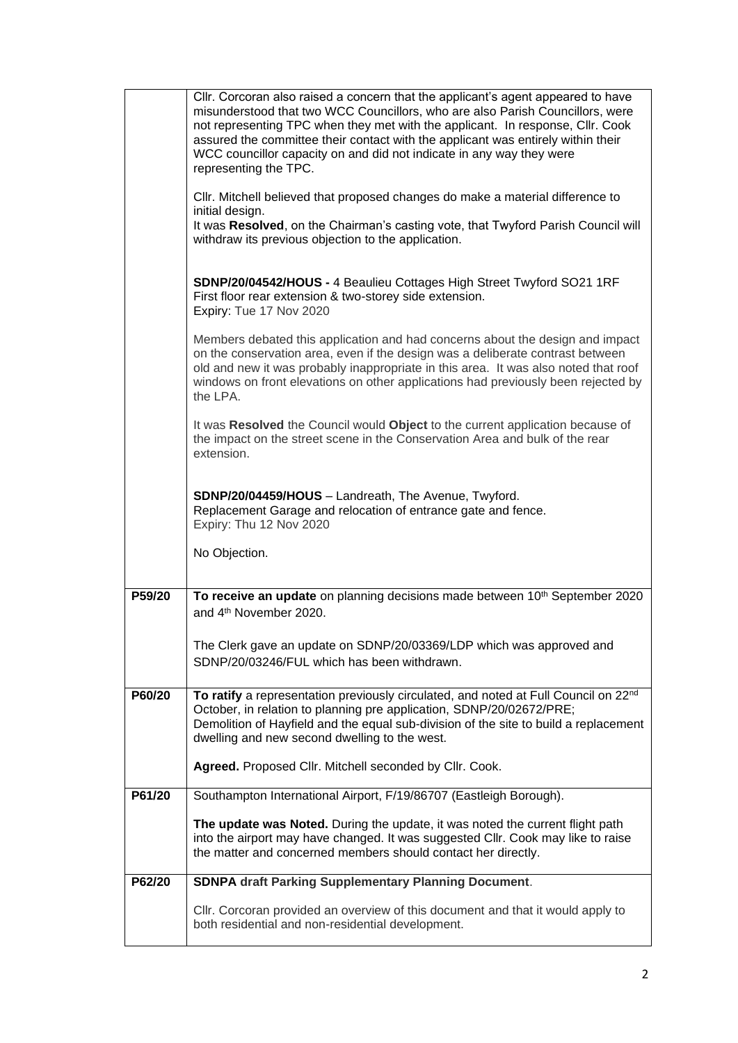|        | CIIr. Corcoran also raised a concern that the applicant's agent appeared to have<br>misunderstood that two WCC Councillors, who are also Parish Councillors, were<br>not representing TPC when they met with the applicant. In response, Cllr. Cook<br>assured the committee their contact with the applicant was entirely within their<br>WCC councillor capacity on and did not indicate in any way they were<br>representing the TPC. |
|--------|------------------------------------------------------------------------------------------------------------------------------------------------------------------------------------------------------------------------------------------------------------------------------------------------------------------------------------------------------------------------------------------------------------------------------------------|
|        | Cllr. Mitchell believed that proposed changes do make a material difference to<br>initial design.<br>It was Resolved, on the Chairman's casting vote, that Twyford Parish Council will                                                                                                                                                                                                                                                   |
|        | withdraw its previous objection to the application.                                                                                                                                                                                                                                                                                                                                                                                      |
|        | SDNP/20/04542/HOUS - 4 Beaulieu Cottages High Street Twyford SO21 1RF<br>First floor rear extension & two-storey side extension.<br>Expiry: Tue 17 Nov 2020                                                                                                                                                                                                                                                                              |
|        | Members debated this application and had concerns about the design and impact<br>on the conservation area, even if the design was a deliberate contrast between<br>old and new it was probably inappropriate in this area. It was also noted that roof<br>windows on front elevations on other applications had previously been rejected by<br>the LPA.                                                                                  |
|        | It was Resolved the Council would Object to the current application because of<br>the impact on the street scene in the Conservation Area and bulk of the rear<br>extension.                                                                                                                                                                                                                                                             |
|        | SDNP/20/04459/HOUS - Landreath, The Avenue, Twyford.<br>Replacement Garage and relocation of entrance gate and fence.<br>Expiry: Thu 12 Nov 2020                                                                                                                                                                                                                                                                                         |
|        | No Objection.                                                                                                                                                                                                                                                                                                                                                                                                                            |
| P59/20 | To receive an update on planning decisions made between 10 <sup>th</sup> September 2020<br>and 4 <sup>th</sup> November 2020.                                                                                                                                                                                                                                                                                                            |
|        | The Clerk gave an update on SDNP/20/03369/LDP which was approved and<br>SDNP/20/03246/FUL which has been withdrawn.                                                                                                                                                                                                                                                                                                                      |
| P60/20 | To ratify a representation previously circulated, and noted at Full Council on 22nd<br>October, in relation to planning pre application, SDNP/20/02672/PRE;<br>Demolition of Hayfield and the equal sub-division of the site to build a replacement<br>dwelling and new second dwelling to the west.                                                                                                                                     |
|        | Agreed. Proposed Cllr. Mitchell seconded by Cllr. Cook.                                                                                                                                                                                                                                                                                                                                                                                  |
| P61/20 | Southampton International Airport, F/19/86707 (Eastleigh Borough).                                                                                                                                                                                                                                                                                                                                                                       |
|        | The update was Noted. During the update, it was noted the current flight path<br>into the airport may have changed. It was suggested Cllr. Cook may like to raise<br>the matter and concerned members should contact her directly.                                                                                                                                                                                                       |
| P62/20 | <b>SDNPA draft Parking Supplementary Planning Document.</b>                                                                                                                                                                                                                                                                                                                                                                              |
|        | CIIr. Corcoran provided an overview of this document and that it would apply to<br>both residential and non-residential development.                                                                                                                                                                                                                                                                                                     |